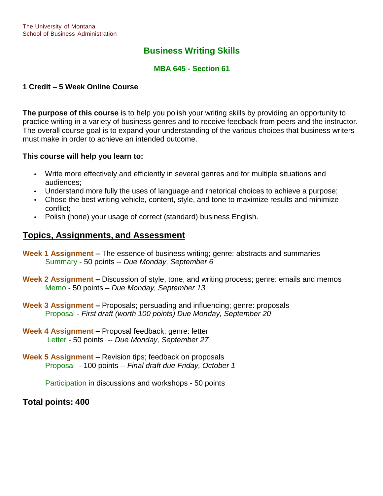# **Business Writing Skills**

## **MBA 645 - Section 61**

## **1 Credit – 5 Week Online Course**

**The purpose of this course** is to help you polish your writing skills by providing an opportunity to practice writing in a variety of business genres and to receive feedback from peers and the instructor. The overall course goal is to expand your understanding of the various choices that business writers must make in order to achieve an intended outcome.

#### **This course will help you learn to:**

- Write more effectively and efficiently in several genres and for multiple situations and audiences;
- Understand more fully the uses of language and rhetorical choices to achieve a purpose;
- Chose the best writing vehicle, content, style, and tone to maximize results and minimize conflict;
- Polish (hone) your usage of correct (standard) business English.

# **Topics, Assignments, and Assessment**

- **Week 1 Assignment –** The essence of business writing; genre: abstracts and summaries Summary - 50 points -- *Due Monday, September 6*
- **Week 2 Assignment –** Discussion of style, tone, and writing process; genre: emails and memos Memo - 50 points – *Due Monday, September 13*
- **Week 3 Assignment –** Proposals; persuading and influencing; genre: proposals Proposal - *First draft (worth 100 points) Due Monday, September 20*
- **Week 4 Assignment –** Proposal feedback; genre: letter Letter - 50 points -- *Due Monday, September 27*
- **Week 5 Assignment** Revision tips; feedback on proposals Proposal - 100 points -- *Final draft due Friday, October 1*

Participation in discussions and workshops - 50 points

**Total points: 400**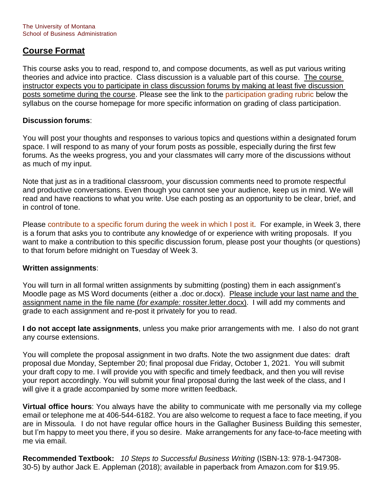# **Course Format**

This course asks you to read, respond to, and compose documents, as well as put various writing theories and advice into practice. Class discussion is a valuable part of this course. The course instructor expects you to participate in class discussion forums by making at least five discussion posts sometime during the course. Please see the link to the participation grading rubric below the syllabus on the course homepage for more specific information on grading of class participation.

## **Discussion forums**:

You will post your thoughts and responses to various topics and questions within a designated forum space. I will respond to as many of your forum posts as possible, especially during the first few forums. As the weeks progress, you and your classmates will carry more of the discussions without as much of my input.

Note that just as in a traditional classroom, your discussion comments need to promote respectful and productive conversations. Even though you cannot see your audience, keep us in mind. We will read and have reactions to what you write. Use each posting as an opportunity to be clear, brief, and in control of tone.

Please contribute to a specific forum during the week in which I post it. For example, in Week 3, there is a forum that asks you to contribute any knowledge of or experience with writing proposals. If you want to make a contribution to this specific discussion forum, please post your thoughts (or questions) to that forum before midnight on Tuesday of Week 3.

#### **Written assignments**:

You will turn in all formal written assignments by submitting (posting) them in each assignment's Moodle page as MS Word documents (either a .doc or.docx). Please include your last name and the assignment name in the file name (*for example:* rossiter.letter.docx). I will add my comments and grade to each assignment and re-post it privately for you to read.

**I do not accept late assignments**, unless you make prior arrangements with me. I also do not grant any course extensions.

You will complete the proposal assignment in two drafts. Note the two assignment due dates: draft proposal due Monday, September 20; final proposal due Friday, October 1, 2021. You will submit your draft copy to me. I will provide you with specific and timely feedback, and then you will revise your report accordingly. You will submit your final proposal during the last week of the class, and I will give it a grade accompanied by some more written feedback.

**Virtual office hours**: You always have the ability to communicate with me personally via my college email or telephone me at 406-544-6182. You are also welcome to request a face to face meeting, if you are in Missoula. I do not have regular office hours in the Gallagher Business Building this semester, but I'm happy to meet you there, if you so desire. Make arrangements for any face-to-face meeting with me via email.

**Recommended Textbook:** *10 Steps to Successful Business Writing* (ISBN-13: 978-1-947308- 30-5) by author Jack E. Appleman (2018); available in paperback from Amazon.com for \$19.95.